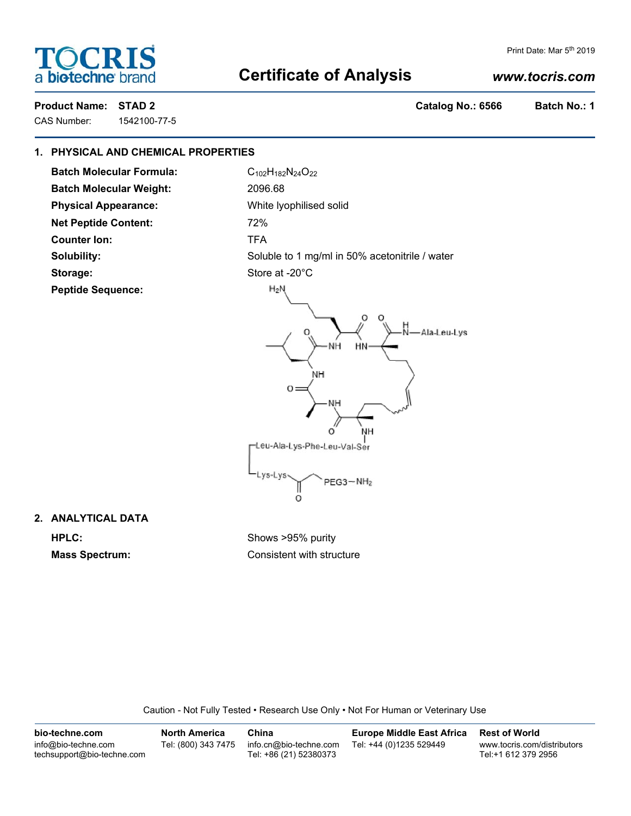# OCRI **bio-techne**

#### Print Date: Mar 5<sup>th</sup> 2019

## **Certificate of Analysis**

## *www.tocris.com*

CAS Number: 1542100-77-5

**Product Name: STAD 2 Catalog No.: 6566 Batch No.: 1**

## **1. PHYSICAL AND CHEMICAL PROPERTIES**

**Batch Molecular Formula:** C<sub>102</sub>H<sub>182</sub>N<sub>24</sub>O<sub>22</sub> **Batch Molecular Weight:** 2096.68 **Physical Appearance:** White lyophilised solid **Net Peptide Content:** 72% **Counter Ion:** TFA Storage: Store at -20°C **Peptide Sequence:**

**Solubility:** Soluble to 1 mg/ml in 50% acetonitrile / water



**2. ANALYTICAL DATA HPLC:** Shows >95% purity

**Mass Spectrum:** Consistent with structure

Caution - Not Fully Tested • Research Use Only • Not For Human or Veterinary Use

| bio-techne.com                                    | North America       | China                                            | <b>Europe Middle East Africa</b> | <b>Rest of World</b>                               |
|---------------------------------------------------|---------------------|--------------------------------------------------|----------------------------------|----------------------------------------------------|
| info@bio-techne.com<br>techsupport@bio-techne.com | Tel: (800) 343 7475 | info.cn@bio-techne.com<br>Tel: +86 (21) 52380373 | Tel: +44 (0)1235 529449          | www.tocris.com/distributors<br>Tel:+1 612 379 2956 |